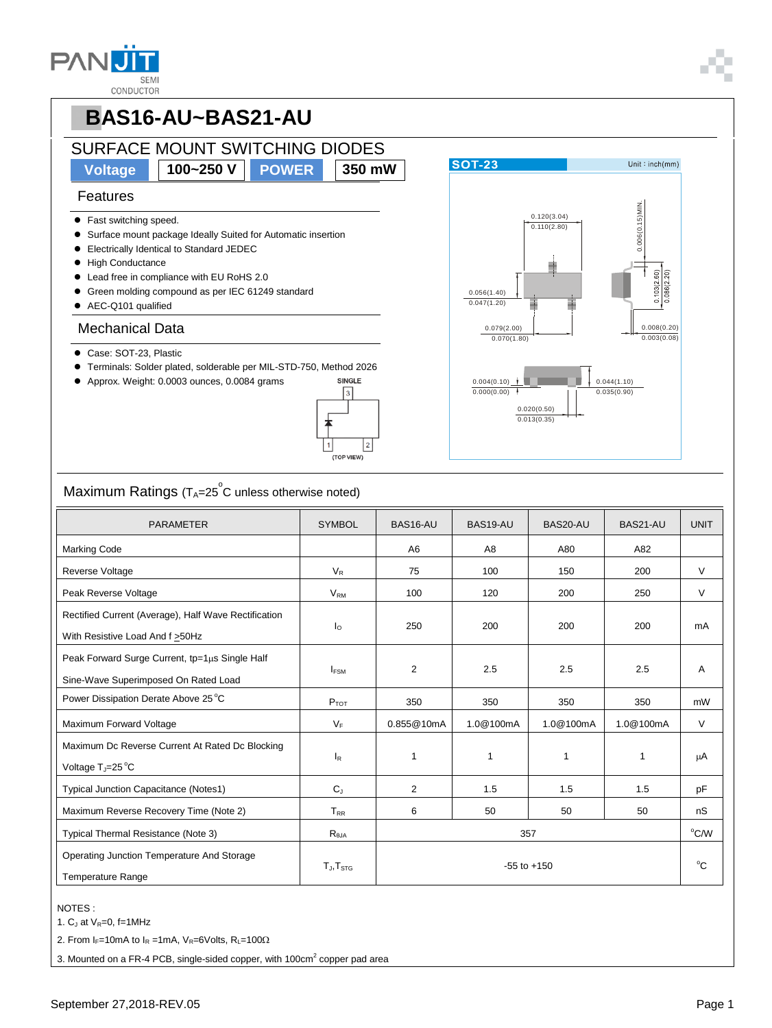| 4 p         |
|-------------|
| <b>SEMI</b> |
| CONDLICTOR  |



# **PBAS16-AU~BAS21-AU**

## SURFACE MOUNT SWITCHING DIODES

**Voltage 100~250 V POWER 350 mW**

#### Features

- Fast switching speed.
- Surface mount package Ideally Suited for Automatic insertion
- Electrically Identical to Standard JEDEC
- **High Conductance**
- Lead free in compliance with EU RoHS 2.0
- Green molding compound as per IEC 61249 standard
- AEC-Q101 qualified

#### Mechanical Data

- Case: SOT-23, Plastic
- Terminals: Solder plated, solderable per MIL-STD-750, Method 2026
- Approx. Weight: 0.0003 ounces, 0.0084 grams





### $\mathsf{Maximum}$  Ratings (T $_{\mathsf{A}}$ =25 $^\circ$ C unless otherwise noted)

| <b>PARAMETER</b>                                                                         | <b>SYMBOL</b>  | BAS16-AU        | BAS19-AU       | BAS20-AU  | BAS21-AU  | <b>UNIT</b> |
|------------------------------------------------------------------------------------------|----------------|-----------------|----------------|-----------|-----------|-------------|
| <b>Marking Code</b>                                                                      |                | A <sub>6</sub>  | A <sub>8</sub> | A80       | A82       |             |
| Reverse Voltage                                                                          | $V_R$          | 75              | 100            | 150       | 200       | $\vee$      |
| Peak Reverse Voltage                                                                     | $V_{\rm RM}$   | 100             | 120            | 200       | 250       | $\vee$      |
| Rectified Current (Average), Half Wave Rectification<br>With Resistive Load And f > 50Hz | $I_{\Omega}$   | 250             | 200            | 200       | 200       | mA          |
| Peak Forward Surge Current, tp=1µs Single Half<br>Sine-Wave Superimposed On Rated Load   | <b>IFSM</b>    | $\overline{2}$  | 2.5            | 2.5       | 2.5       | A           |
| Power Dissipation Derate Above 25 °C                                                     | $P_{TOT}$      | 350             | 350            | 350       | 350       | mW          |
| Maximum Forward Voltage                                                                  | $V_F$          | 0.855@10mA      | 1.0@100mA      | 1.0@100mA | 1.0@100mA | $\vee$      |
| Maximum Dc Reverse Current At Rated Dc Blocking<br>Voltage $T_{\rm J}$ =25 °C            | $I_R$          | 1               | 1              | 1         | 1         | μA          |
| Typical Junction Capacitance (Notes1)                                                    | $C_{J}$        | $\overline{2}$  | 1.5            | 1.5       | 1.5       | pF          |
| Maximum Reverse Recovery Time (Note 2)                                                   | $T_{RR}$       | 6               | 50             | 50        | 50        | nS          |
| Typical Thermal Resistance (Note 3)                                                      | $R_{\theta$ JA | 357             |                |           |           | °C/W        |
| Operating Junction Temperature And Storage<br><b>Temperature Range</b>                   | $T_J, T_{STG}$ | $-55$ to $+150$ |                |           |           | $^{\circ}C$ |

#### NOTES :

1.  $C_J$  at  $V_R=0$ , f=1MHz

2. From I<sub>F</sub>=10mA to I<sub>R</sub> =1mA, V<sub>R</sub>=6Volts, R<sub>L</sub>=100 $\Omega$ 

3. Mounted on a FR-4 PCB, single-sided copper, with 100 $\text{cm}^2$  copper pad area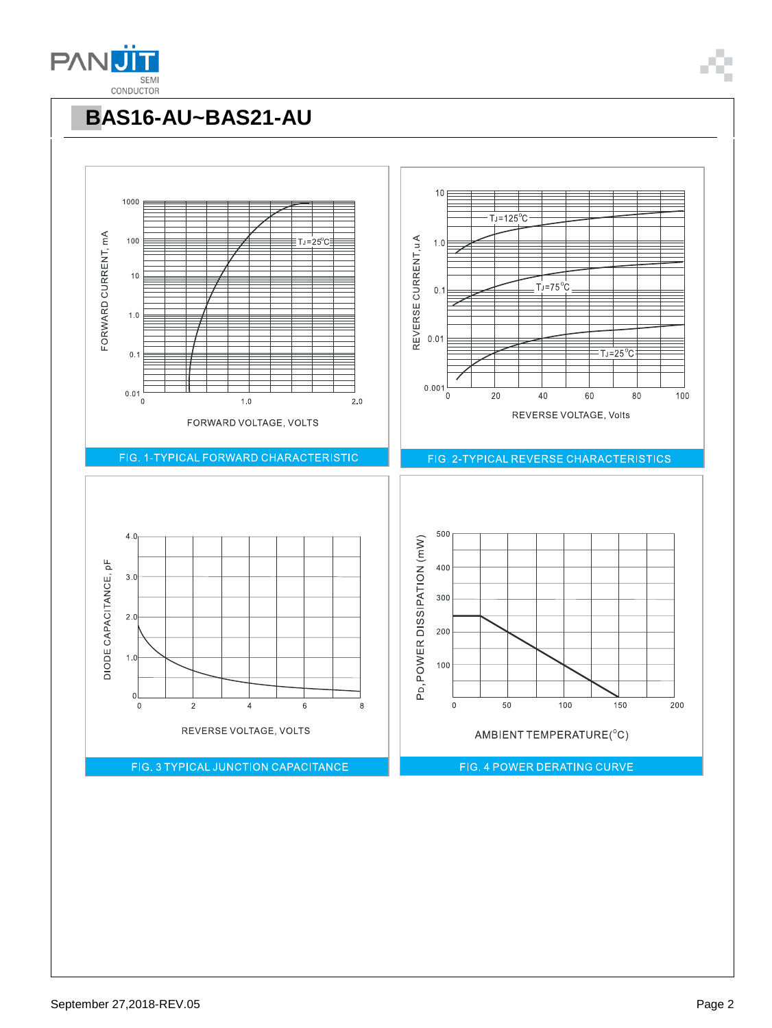



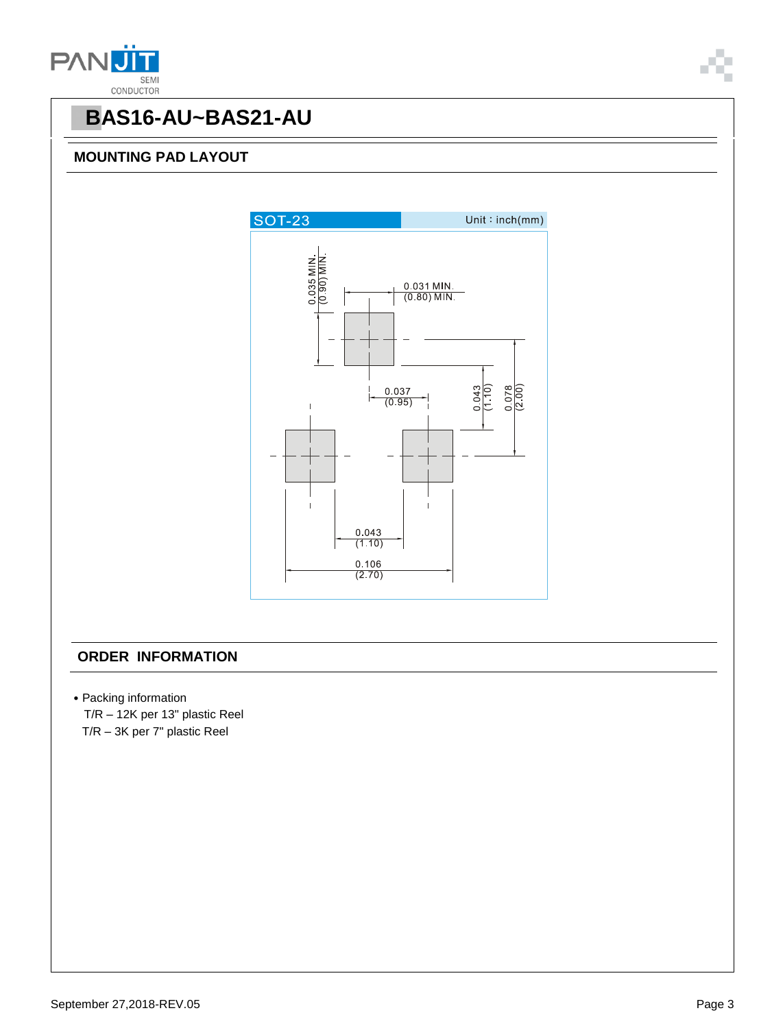



## **PBAS16-AU~BAS21-AU**

#### **MOUNTING PAD LAYOUT**



#### **ORDER INFORMATION**

- ˙Packing information
- T/R 12K per 13" plastic Reel T/R – 3K per 7" plastic Reel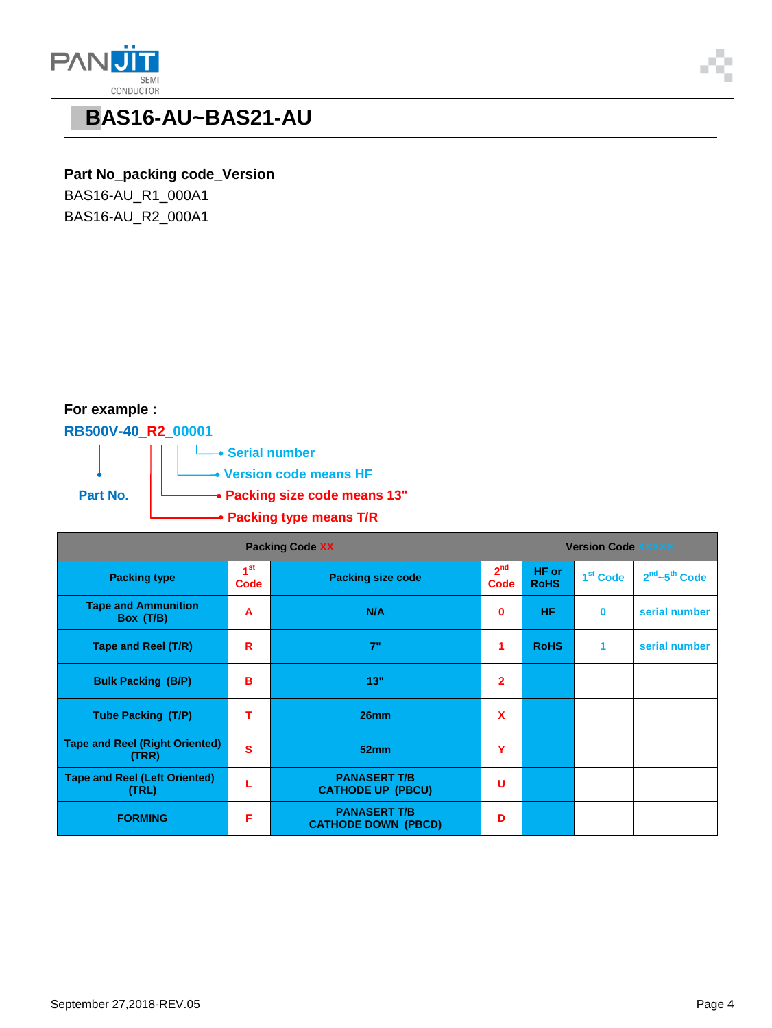



## **PBAS16-AU~BAS21-AU**

#### **Part No\_packing code\_Version**

BAS16-AU\_R1\_000A1 BAS16-AU\_R2\_000A1

### **For example :**

#### **RB500V-40\_R2\_00001**



| <b>Packing Code XX</b>                         |                         |                                                   | <b>Version Code XXXXX</b> |                                              |          |                                       |
|------------------------------------------------|-------------------------|---------------------------------------------------|---------------------------|----------------------------------------------|----------|---------------------------------------|
| <b>Packing type</b>                            | 1 <sup>st</sup><br>Code | <b>Packing size code</b><br>Code                  |                           | HF or<br>1 <sup>st</sup> Code<br><b>RoHS</b> |          | 2 <sup>nd</sup> ~5 <sup>th</sup> Code |
| <b>Tape and Ammunition</b><br>Box (T/B)        | A                       | N/A                                               | $\bf{0}$                  | HF.                                          | $\bf{0}$ | serial number                         |
| Tape and Reel (T/R)                            | R                       | 7"                                                | 1                         | <b>RoHS</b>                                  | 1        | serial number                         |
| <b>Bulk Packing (B/P)</b>                      | в                       | 13"                                               | $\overline{2}$            |                                              |          |                                       |
| <b>Tube Packing (T/P)</b>                      | т                       | 26mm                                              | $\boldsymbol{\mathsf{x}}$ |                                              |          |                                       |
| <b>Tape and Reel (Right Oriented)</b><br>(TRR) | $\overline{\mathbf{s}}$ | 52mm                                              | Y                         |                                              |          |                                       |
| <b>Tape and Reel (Left Oriented)</b><br>(TRL)  |                         | <b>PANASERT T/B</b><br><b>CATHODE UP (PBCU)</b>   | U                         |                                              |          |                                       |
| <b>FORMING</b>                                 | F                       | <b>PANASERT T/B</b><br><b>CATHODE DOWN (PBCD)</b> | D                         |                                              |          |                                       |